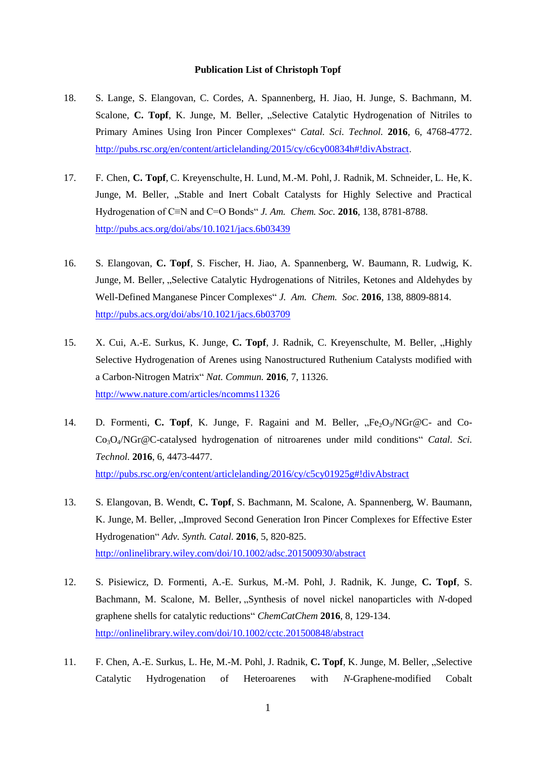## **Publication List of Christoph Topf**

- 18. S. Lange, S. Elangovan, C. Cordes, A. Spannenberg, H. Jiao, H. Junge, S. Bachmann, M. Scalone, **C. Topf**, K. Junge, M. Beller, "Selective Catalytic Hydrogenation of Nitriles to Primary Amines Using Iron Pincer Complexes" *Catal. Sci. Technol.* **2016**, 6, 4768-4772. [http://pubs.rsc.org/en/content/articlelanding/2015/cy/c6cy00834h#!divAbstract.](http://pubs.rsc.org/en/content/articlelanding/2015/cy/c6cy00834h#!divAbstract)
- 17. F. Chen, **C. Topf**, C. Kreyenschulte, H. Lund, M.-M. Pohl, J. Radnik, M. Schneider, L. He, K. Junge, M. Beller, "Stable and Inert Cobalt Catalysts for Highly Selective and Practical Hydrogenation of C≡N and C=O Bonds" *J. Am. Chem. Soc.* **2016**, 138, 8781-8788. <http://pubs.acs.org/doi/abs/10.1021/jacs.6b03439>
- 16. S. Elangovan, **C. Topf**, S. Fischer, H. Jiao, A. Spannenberg, W. Baumann, R. Ludwig, K. Junge, M. Beller, "Selective Catalytic Hydrogenations of Nitriles, Ketones and Aldehydes by Well-Defined Manganese Pincer Complexes" *J. Am. Chem. Soc.* **2016**, 138, 8809-8814. <http://pubs.acs.org/doi/abs/10.1021/jacs.6b03709>
- 15. X. Cui, A.-E. Surkus, K. Junge, C. Topf, J. Radnik, C. Kreyenschulte, M. Beller, "Highly Selective Hydrogenation of Arenes using Nanostructured Ruthenium Catalysts modified with a Carbon-Nitrogen Matrix" *Nat. Commun.* **2016**, 7, 11326. <http://www.nature.com/articles/ncomms11326>
- 14. D. Formenti, C. Topf, K. Junge, F. Ragaini and M. Beller,  $E_2O_3/\text{NGr@C-}$  and Co-Co3O4/NGr@C-catalysed hydrogenation of nitroarenes under mild conditions" *Catal. Sci. Technol.* **2016**, 6, 4473-4477. <http://pubs.rsc.org/en/content/articlelanding/2016/cy/c5cy01925g#!divAbstract>
- 13. S. Elangovan, B. Wendt, **C. Topf**, S. Bachmann, M. Scalone, A. Spannenberg, W. Baumann, K. Junge, M. Beller, "Improved Second Generation Iron Pincer Complexes for Effective Ester Hydrogenation" *Adv. Synth. Catal.* **2016**, 5, 820-825. <http://onlinelibrary.wiley.com/doi/10.1002/adsc.201500930/abstract>
- 12. S. Pisiewicz, D. Formenti, A.-E. Surkus, M.-M. Pohl, J. Radnik, K. Junge, **C. Topf**, S. Bachmann, M. Scalone, M. Beller, "Synthesis of novel nickel nanoparticles with *N*-doped graphene shells for catalytic reductions" *ChemCatChem* **2016**, 8, 129-134. <http://onlinelibrary.wiley.com/doi/10.1002/cctc.201500848/abstract>
- 11. F. Chen, A.-E. Surkus, L. He, M.-M. Pohl, J. Radnik, C. Topf, K. Junge, M. Beller, "Selective Catalytic Hydrogenation of Heteroarenes with *N*-Graphene-modified Cobalt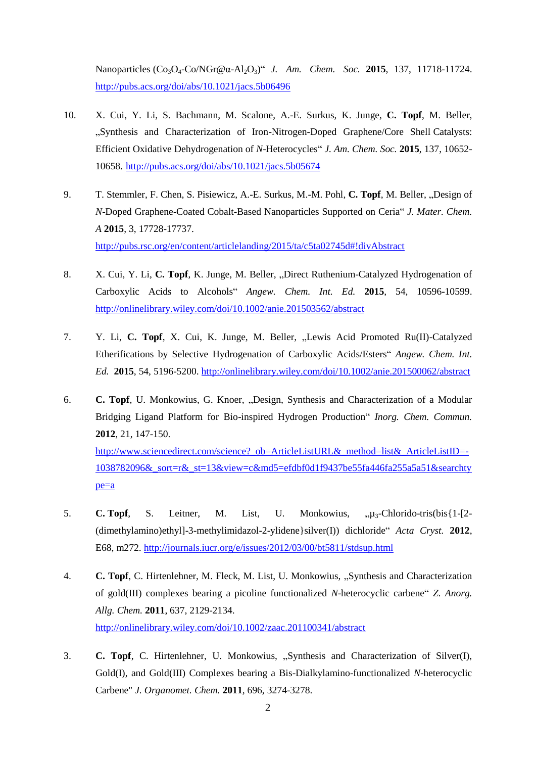Nanoparticles (Co3O4-Co/NGr@α-Al2O3)" *J. Am. Chem. Soc.* **2015**, 137, 11718-11724. <http://pubs.acs.org/doi/abs/10.1021/jacs.5b06496>

- 10. X. Cui, Y. Li, S. Bachmann, M. Scalone, A.-E. Surkus, K. Junge, **C. Topf**, M. Beller, "Synthesis and Characterization of Iron-Nitrogen-Doped Graphene/Core Shell Catalysts: Efficient Oxidative Dehydrogenation of *N*-Heterocycles" *J. Am. Chem. Soc.* **2015**, 137, 10652- 10658. <http://pubs.acs.org/doi/abs/10.1021/jacs.5b05674>
- 9. T. Stemmler, F. Chen, S. Pisiewicz, A.-E. Surkus, M.-M. Pohl, C. Topf, M. Beller, ..Design of *N*-Doped Graphene-Coated Cobalt-Based Nanoparticles Supported on Ceria" *J. Mater. Chem. A* **2015**, 3, 17728-17737. <http://pubs.rsc.org/en/content/articlelanding/2015/ta/c5ta02745d#!divAbstract>
- 8. X. Cui, Y. Li, C. Topf, K. Junge, M. Beller, "Direct Ruthenium-Catalyzed Hydrogenation of Carboxylic Acids to Alcohols" *Angew. Chem. Int. Ed.* **2015**, 54, 10596-10599. <http://onlinelibrary.wiley.com/doi/10.1002/anie.201503562/abstract>
- 7. Y. Li, **C. Topf**, X. Cui, K. Junge, M. Beller, "Lewis Acid Promoted Ru(II)-Catalyzed Etherifications by Selective Hydrogenation of Carboxylic Acids/Esters" *Angew. Chem. Int. Ed.* **2015**, 54, 5196-5200. <http://onlinelibrary.wiley.com/doi/10.1002/anie.201500062/abstract>
- 6. **C. Topf**, U. Monkowius, G. Knoer, "Design, Synthesis and Characterization of a Modular Bridging Ligand Platform for Bio-inspired Hydrogen Production" *Inorg. Chem. Commun.* **2012**, 21, 147-150. http://www.sciencedirect.com/science? ob=ArticleListURL&\_method=list&\_ArticleListID=-[1038782096&\\_sort=r&\\_st=13&view=c&md5=efdbf0d1f9437be55fa446fa255a5a51&searchty](http://www.sciencedirect.com/science?_ob=ArticleListURL&_method=list&_ArticleListID=-1038782096&_sort=r&_st=13&view=c&md5=efdbf0d1f9437be55fa446fa255a5a51&searchtype=a) [pe=a](http://www.sciencedirect.com/science?_ob=ArticleListURL&_method=list&_ArticleListID=-1038782096&_sort=r&_st=13&view=c&md5=efdbf0d1f9437be55fa446fa255a5a51&searchtype=a)
- 5. **C. Topf**, S. Leitner, M. List, U. Monkowius, " $\mu_3$ -Chlorido-tris(bis{1-[2-(dimethylamino)ethyl]-3-methylimidazol-2-ylidene}silver(I)) dichloride" *Acta Cryst.* **2012**, E68, m272. <http://journals.iucr.org/e/issues/2012/03/00/bt5811/stdsup.html>
- 4. **C. Topf**, C. Hirtenlehner, M. Fleck, M. List, U. Monkowius, "Synthesis and Characterization of gold(III) complexes bearing a picoline functionalized *N*-heterocyclic carbene" *Z. Anorg. Allg. Chem.* **2011**, 637, 2129-2134. <http://onlinelibrary.wiley.com/doi/10.1002/zaac.201100341/abstract>
- 3. **C. Topf**, C. Hirtenlehner, U. Monkowius, "Synthesis and Characterization of Silver(I), Gold(I), and Gold(III) Complexes bearing a Bis-Dialkylamino-functionalized *N*-heterocyclic Carbene" *J. Organomet. Chem.* **2011**, 696, 3274-3278.